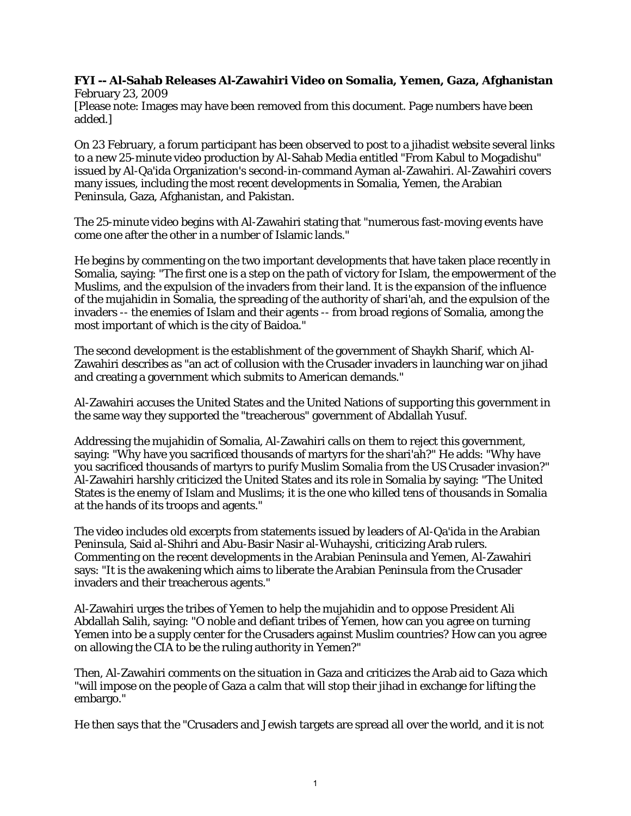## **FYI -- Al-Sahab Releases Al-Zawahiri Video on Somalia, Yemen, Gaza, Afghanistan** February 23, 2009

[Please note: Images may have been removed from this document. Page numbers have been added.]

On 23 February, a forum participant has been observed to post to a jihadist website several links to a new 25-minute video production by Al-Sahab Media entitled "From Kabul to Mogadishu" issued by Al-Qa'ida Organization's second-in-command Ayman al-Zawahiri. Al-Zawahiri covers many issues, including the most recent developments in Somalia, Yemen, the Arabian Peninsula, Gaza, Afghanistan, and Pakistan.

The 25-minute video begins with Al-Zawahiri stating that "numerous fast-moving events have come one after the other in a number of Islamic lands."

He begins by commenting on the two important developments that have taken place recently in Somalia, saying: "The first one is a step on the path of victory for Islam, the empowerment of the Muslims, and the expulsion of the invaders from their land. It is the expansion of the influence of the mujahidin in Somalia, the spreading of the authority of shari'ah, and the expulsion of the invaders -- the enemies of Islam and their agents -- from broad regions of Somalia, among the most important of which is the city of Baidoa."

The second development is the establishment of the government of Shaykh Sharif, which Al-Zawahiri describes as "an act of collusion with the Crusader invaders in launching war on jihad and creating a government which submits to American demands."

Al-Zawahiri accuses the United States and the United Nations of supporting this government in the same way they supported the "treacherous" government of Abdallah Yusuf.

Addressing the mujahidin of Somalia, Al-Zawahiri calls on them to reject this government, saying: "Why have you sacrificed thousands of martyrs for the shari'ah?" He adds: "Why have you sacrificed thousands of martyrs to purify Muslim Somalia from the US Crusader invasion?" Al-Zawahiri harshly criticized the United States and its role in Somalia by saying: "The United States is the enemy of Islam and Muslims; it is the one who killed tens of thousands in Somalia at the hands of its troops and agents."

The video includes old excerpts from statements issued by leaders of Al-Qa'ida in the Arabian Peninsula, Said al-Shihri and Abu-Basir Nasir al-Wuhayshi, criticizing Arab rulers. Commenting on the recent developments in the Arabian Peninsula and Yemen, Al-Zawahiri says: "It is the awakening which aims to liberate the Arabian Peninsula from the Crusader invaders and their treacherous agents."

Al-Zawahiri urges the tribes of Yemen to help the mujahidin and to oppose President Ali Abdallah Salih, saying: "O noble and defiant tribes of Yemen, how can you agree on turning Yemen into be a supply center for the Crusaders against Muslim countries? How can you agree on allowing the CIA to be the ruling authority in Yemen?"

Then, Al-Zawahiri comments on the situation in Gaza and criticizes the Arab aid to Gaza which "will impose on the people of Gaza a calm that will stop their jihad in exchange for lifting the embargo."

He then says that the "Crusaders and Jewish targets are spread all over the world, and it is not